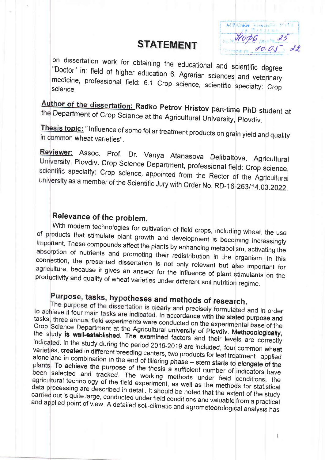#### **STATEMENT**

AFPLUEL

on dissertation work for obtaining the educational and scientific degree "Doctor" in: field of higher education 6. Agrarian sciences and veterinary medicine, professional field: 6.1 Crop science, scientific specialty: Crop

Author of the dissertation: Radko Petrov Hristov part-time PhD student at the Department of Crop Science at the Agricultural University, Plovdiv.

Thesis topic: "Influence of some foliar treatment products on grain yield and quality in common wheat varieties".

Reviewer: Assoc. Prof. Dr. Vanya Atanasova Delibaltova, Agricultural University, Plovdiv. Crop Science Department, professional field: Crop science, scientific specialty: Crop science, appointed from the Rector of the Agricultural university as a member of the Scientific Jury with Order No. RD-16-263/14.03.2022.

### Relevance of the problem.

With modern technologies for cultivation of field crops, including wheat, the use of products that stimulate plant growth and development is becoming increasingly important. These compounds affect the plants by enhancing metabolism, activating the absorption of nutrients and promoting their redistribution in the organism. In this connection, the presented dissertation is not only relevant but also important for agriculture, because it gives an answer for the influence of plant stimulants on the productivity and quality of wheat varieties under different soil nutrition regime.

## Purpose, tasks, hypotheses and methods of research.

The purpose of the dissertation is clearly and precisely formulated and in order to achieve it four main tasks are indicated. In accordance with the stated purpose and tasks, three annual field experiments were conducted on the experimental base of the Crop Science Department at the Agricultural university of Plovdiv. Methodologically, the study is well-established. The examined factors and their levels are correctly indicated. In the study during the period 2016-2019 are included, four common wheat varieties, created in different breeding centers, two products for leaf treatment - applied alone and in combination in the end of tillering phase - stem starts to elongate of the plants. To achieve the purpose of the thesis a sufficient number of indicators have been selected and tracked. The working methods under field conditions, the agricultural technology of the field experiment, as well as the methods for statistical data processing are described in detail. It should be noted that the extent of the study carried out is quite large, conducted under field conditions and valuable from a practical and applied point of view. A detailed soil-climatic and agrometeorological analysis has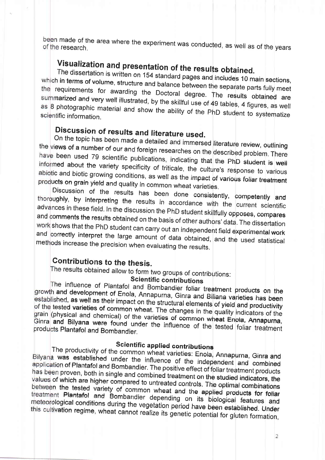been made of the area where the experiment was conducted, as well as of the years

# Visualization and presentation of the results obtained.

The dissertation is written on 154 standard pages and includes 10 main sections, which in terms of volume, structure and balance between the separate parts fully meet the requirements for awarding the Doctoral degree. The results obtained are summarized and very well illustrated, by the skillful use of 49 tables, 4 figures, as well as 8 photographic material and show the ability of the PhD student to systematize scientific information.

## Discussion of results and literature used.

On the topic has been made a detailed and immersed literature review, outlining the views of a number of our and foreign researches on the described problem. There have been used 79 scientific publications, indicating that the PhD student is well informed about the variety specificity of triticale, the culture's response to various abiotic and biotic growing conditions, as well as the impact of various foliar treatment products on grain yield and quality in common wheat varieties.

Discussion of the results has been done consistently, competently and thoroughly, by interpreting the results in accordance with the current scientific advances in these field. In the discussion the PhD student skillfully opposes, compares and comments the results obtained on the basis of other authors' data. The dissertation work shows that the PhD student can carry out an independent field experimental work and correctly interpret the large amount of data obtained, and the used statistical methods increase the precision when evaluating the results.

#### Contributions to the thesis.

The results obtained allow to form two groups of contributions:

#### **Scientific contributions**

The influence of Plantafol and Bombandier foliar treatment products on the growth and development of Enola, Annapurna, Ginra and Biliana varieties has been established, as well as their impact on the structural elements of yield and productivity of the tested varieties of common wheat. The changes in the quality indicators of the grain (physical and chemical) of the varieties of common wheat Enola, Annapurna, Ginra and Bilyana were found under the influence of the tested foliar treatment products Plantafol and Bombandier.

#### **Scientific applied contributions**

The productivity of the common wheat varieties: Enola, Annapurna, Ginra and Bilyana was established under the influence of the independent and combined application of Plantafol and Bombandier. The positive effect of foliar treatment products has been proven, both in single and combined treatment on the studied indicators, the values of which are higher compared to untreated controls. The optimal combinations between the tested variety of common wheat and the applied products for foliar treatment Plantafol and Bombandier depending on its biological features and meteorological conditions during the vegetation period have been established. Under this cultivation regime, wheat cannot realize its genetic potential for gluten formation,